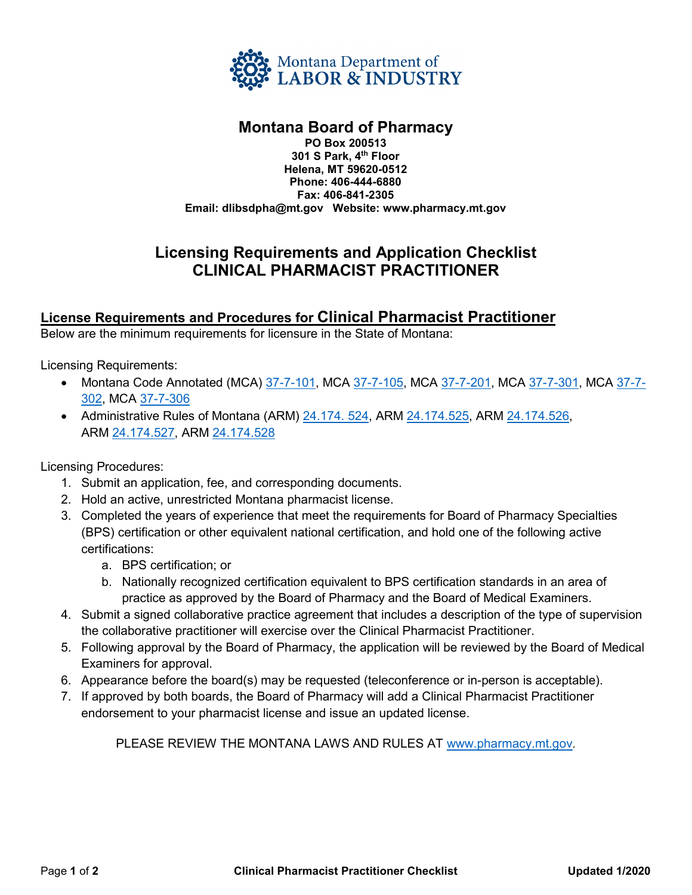

## **Montana Board of Pharmacy**

**PO Box 200513 301 S Park, 4th Floor Helena, MT 59620-0512 Phone: 406-444-6880 Fax: 406-841-2305 Email: dlibsdpha@mt.gov Website: www.pharmacy.mt.gov** 

## **Licensing Requirements and Application Checklist CLINICAL PHARMACIST PRACTITIONER**

### **License Requirements and Procedures for Clinical Pharmacist Practitioner**

Below are the minimum requirements for licensure in the State of Montana:

Licensing Requirements:

- Montana Code Annotated (MCA) [37-7-101,](https://leg.mt.gov/bills/mca/title_0370/chapter_0070/part_0010/section_0010/0370-0070-0010-0010.html) MCA [37-7-105,](http://leg.mt.gov/bills/mca/title_0370/chapter_0070/part_0010/section_0050/0370-0070-0010-0050.html) MCA [37-7-201,](http://leg.mt.gov/bills/mca/title_0370/chapter_0070/part_0020/section_0010/0370-0070-0020-0010.html) MCA [37-7-301,](http://leg.mt.gov/bills/mca/title_0370/chapter_0070/part_0030/section_0010/0370-0070-0030-0010.html) MCA [37-7-](http://leg.mt.gov/bills/mca/title_0370/chapter_0070/part_0030/section_0020/0370-0070-0030-0020.html) [302,](http://leg.mt.gov/bills/mca/title_0370/chapter_0070/part_0030/section_0020/0370-0070-0030-0020.html) MCA [37-7-306](https://leg.mt.gov/bills/mca/title_0370/chapter_0070/part_0030/section_0060/0370-0070-0030-0060.html)
- Administrative Rules of Montana (ARM) 24.174.524, ARM [24.174.525,](http://www.mtrules.org/gateway/RuleNo.asp?RN=24%2E174%2E525) ARM [24.174.526,](http://www.mtrules.org/gateway/RuleNo.asp?RN=24%2E174%2E526) ARM [24.174.527,](http://www.mtrules.org/gateway/RuleNo.asp?RN=24%2E174%2E527) ARM [24.174.528](http://www.mtrules.org/gateway/RuleNo.asp?RN=24%2E174%2E528)

Licensing Procedures:

- 1. Submit an application, fee, and corresponding documents.
- 2. Hold an active, unrestricted Montana pharmacist license.
- 3. Completed the years of experience that meet the requirements for Board of Pharmacy Specialties (BPS) certification or other equivalent national certification, and hold one of the following active certifications:
	- a. BPS certification; or
	- b. Nationally recognized certification equivalent to BPS certification standards in an area of practice as approved by the Board of Pharmacy and the Board of Medical Examiners.
- 4. Submit a signed collaborative practice agreement that includes a description of the type of supervision the collaborative practitioner will exercise over the Clinical Pharmacist Practitioner.
- 5. Following approval by the Board of Pharmacy, the application will be reviewed by the Board of Medical Examiners for approval.
- 6. Appearance before the board(s) may be requested (teleconference or in-person is acceptable).
- 7. If approved by both boards, the Board of Pharmacy will add a Clinical Pharmacist Practitioner endorsement to your pharmacist license and issue an updated license.

PLEASE REVIEW THE MONTANA LAWS AND RULES AT [www.pharmacy.mt.gov.](http://www.pharmacy.mt.gov/)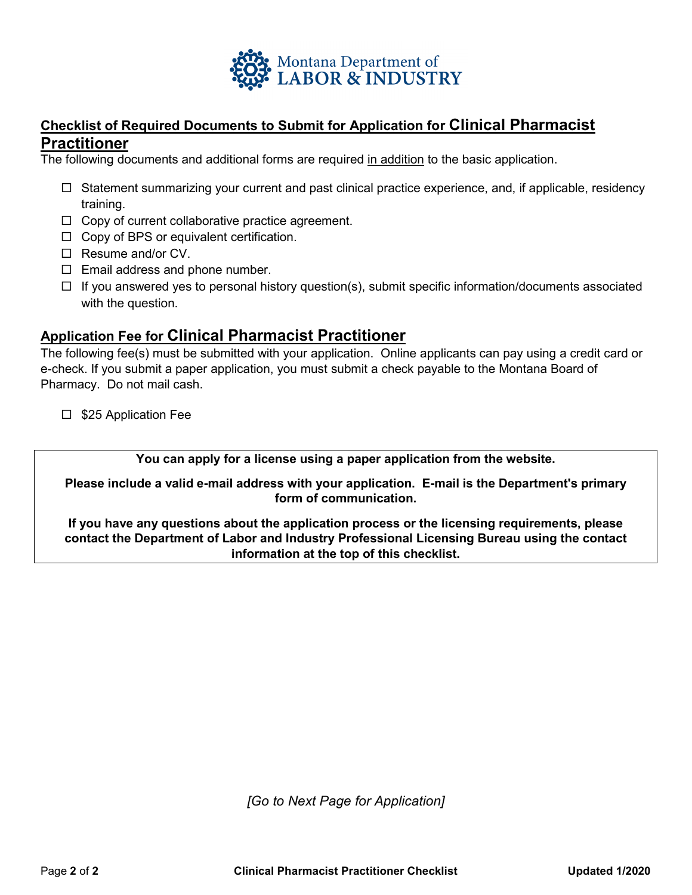

### **Checklist of Required Documents to Submit for Application for Clinical Pharmacist Practitioner**

The following documents and additional forms are required in addition to the basic application.

- $\Box$  Statement summarizing your current and past clinical practice experience, and, if applicable, residency training.
- $\Box$  Copy of current collaborative practice agreement.
- $\Box$  Copy of BPS or equivalent certification.
- $\Box$  Resume and/or CV.
- $\Box$  Email address and phone number.
- $\Box$  If you answered yes to personal history question(s), submit specific information/documents associated with the question.

#### **Application Fee for Clinical Pharmacist Practitioner**

The following fee(s) must be submitted with your application. Online applicants can pay using a credit card or e-check. If you submit a paper application, you must submit a check payable to the Montana Board of Pharmacy. Do not mail cash.

 $\square$  \$25 Application Fee

**You can apply for a license using a paper application from the website.** 

**Please include a valid e-mail address with your application. E-mail is the Department's primary form of communication.**

**If you have any questions about the application process or the licensing requirements, please contact the Department of Labor and Industry Professional Licensing Bureau using the contact information at the top of this checklist.**

*[Go to Next Page for Application]*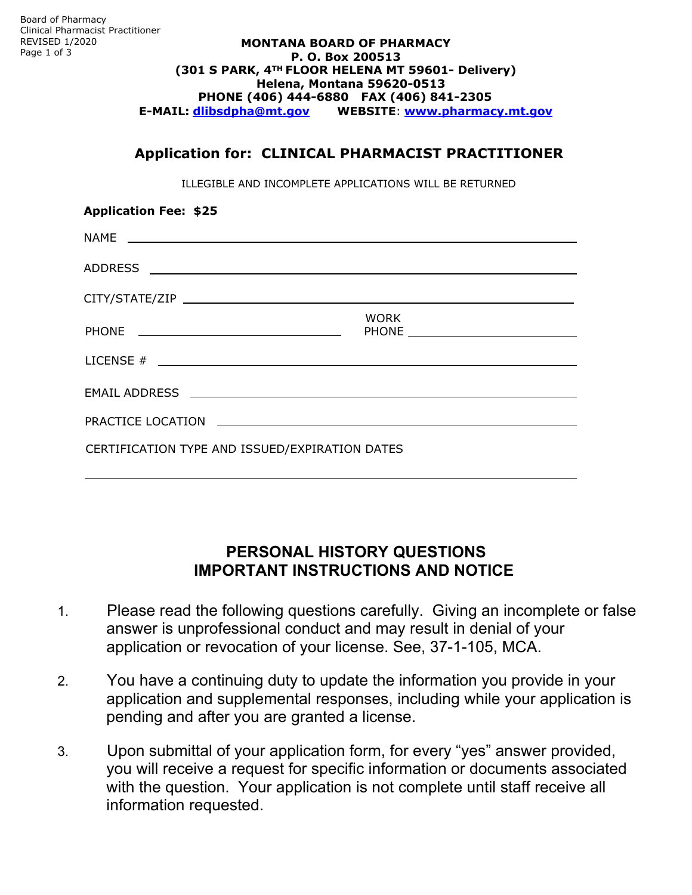#### **MONTANA BOARD OF PHARMACY P. O. Box 200513 (301 S PARK, 4TH FLOOR HELENA MT 59601- Delivery) Helena, Montana 59620-0513 PHONE (406) 444-6880 FAX (406) 841-2305 E-MAIL: dlibsdpha@mt.gov WEBSITE**: **www.pharmacy.mt.gov**

### **Application for: CLINICAL PHARMACIST PRACTITIONER**

ILLEGIBLE AND INCOMPLETE APPLICATIONS WILL BE RETURNED

| <b>Application Fee: \$25</b>                   |             |
|------------------------------------------------|-------------|
|                                                |             |
|                                                |             |
|                                                |             |
|                                                | <b>WORK</b> |
| LICENSE $#$ $\qquad$                           |             |
|                                                |             |
|                                                |             |
| CERTIFICATION TYPE AND ISSUED/EXPIRATION DATES |             |

# **PERSONAL HISTORY QUESTIONS IMPORTANT INSTRUCTIONS AND NOTICE**

- 1. Please read the following questions carefully. Giving an incomplete or false answer is unprofessional conduct and may result in denial of your application or revocation of your license. See, 37-1-105, MCA.
- 2. You have a continuing duty to update the information you provide in your application and supplemental responses, including while your application is pending and after you are granted a license.
- 3. Upon submittal of your application form, for every "yes" answer provided, you will receive a request for specific information or documents associated with the question. Your application is not complete until staff receive all information requested.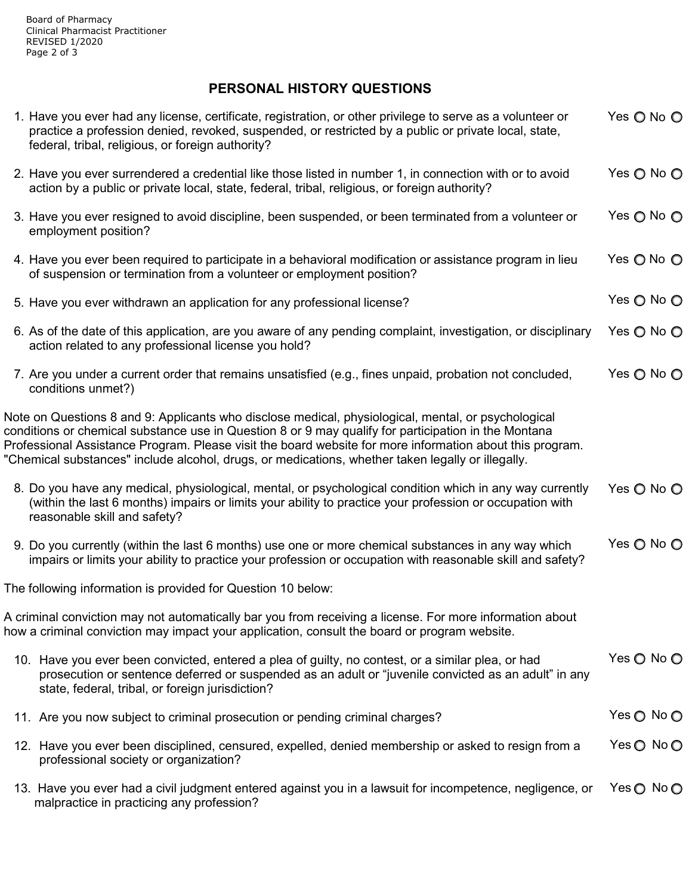## **PERSONAL HISTORY QUESTIONS**

| 1. Have you ever had any license, certificate, registration, or other privilege to serve as a volunteer or<br>practice a profession denied, revoked, suspended, or restricted by a public or private local, state,<br>federal, tribal, religious, or foreign authority?                                                                                                                                                      | Yes O No O |
|------------------------------------------------------------------------------------------------------------------------------------------------------------------------------------------------------------------------------------------------------------------------------------------------------------------------------------------------------------------------------------------------------------------------------|------------|
| 2. Have you ever surrendered a credential like those listed in number 1, in connection with or to avoid<br>action by a public or private local, state, federal, tribal, religious, or foreign authority?                                                                                                                                                                                                                     | Yes O No O |
| 3. Have you ever resigned to avoid discipline, been suspended, or been terminated from a volunteer or<br>employment position?                                                                                                                                                                                                                                                                                                | Yes ○ No ○ |
| 4. Have you ever been required to participate in a behavioral modification or assistance program in lieu<br>of suspension or termination from a volunteer or employment position?                                                                                                                                                                                                                                            | Yes O No O |
| 5. Have you ever withdrawn an application for any professional license?                                                                                                                                                                                                                                                                                                                                                      | Yes O No O |
| 6. As of the date of this application, are you aware of any pending complaint, investigation, or disciplinary<br>action related to any professional license you hold?                                                                                                                                                                                                                                                        | Yes O No O |
| 7. Are you under a current order that remains unsatisfied (e.g., fines unpaid, probation not concluded,<br>conditions unmet?)                                                                                                                                                                                                                                                                                                | Yes ◯ No ◯ |
| Note on Questions 8 and 9: Applicants who disclose medical, physiological, mental, or psychological<br>conditions or chemical substance use in Question 8 or 9 may qualify for participation in the Montana<br>Professional Assistance Program. Please visit the board website for more information about this program.<br>"Chemical substances" include alcohol, drugs, or medications, whether taken legally or illegally. |            |
| 8. Do you have any medical, physiological, mental, or psychological condition which in any way currently<br>(within the last 6 months) impairs or limits your ability to practice your profession or occupation with<br>reasonable skill and safety?                                                                                                                                                                         | Yes O No O |
| 9. Do you currently (within the last 6 months) use one or more chemical substances in any way which<br>impairs or limits your ability to practice your profession or occupation with reasonable skill and safety?                                                                                                                                                                                                            | Yes O No O |
| The following information is provided for Question 10 below:                                                                                                                                                                                                                                                                                                                                                                 |            |
| A criminal conviction may not automatically bar you from receiving a license. For more information about<br>how a criminal conviction may impact your application, consult the board or program website.                                                                                                                                                                                                                     |            |
| 10. Have you ever been convicted, entered a plea of guilty, no contest, or a similar plea, or had<br>prosecution or sentence deferred or suspended as an adult or "juvenile convicted as an adult" in any<br>state, federal, tribal, or foreign jurisdiction?                                                                                                                                                                | Yes O No O |
| 11. Are you now subject to criminal prosecution or pending criminal charges?                                                                                                                                                                                                                                                                                                                                                 | Yes ○ No ○ |
| 12. Have you ever been disciplined, censured, expelled, denied membership or asked to resign from a<br>professional society or organization?                                                                                                                                                                                                                                                                                 | Yes ◯ No ◯ |
| 13. Have you ever had a civil judgment entered against you in a lawsuit for incompetence, negligence, or<br>malpractice in practicing any profession?                                                                                                                                                                                                                                                                        | Yes ◯ No ◯ |